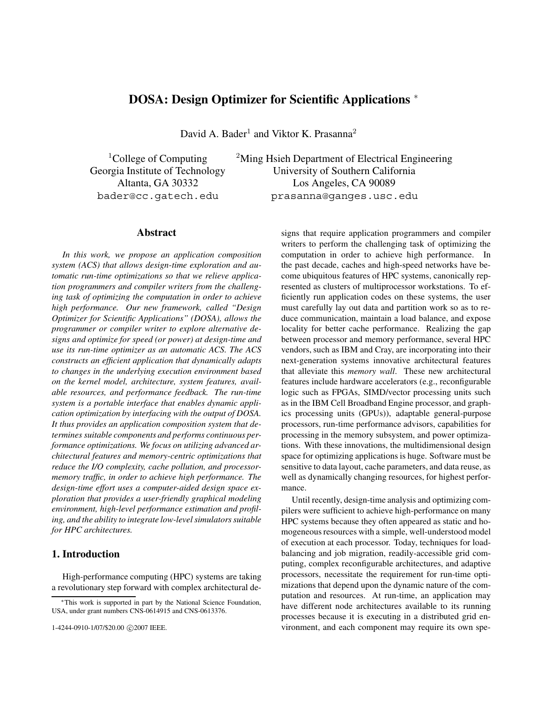## **DOSA: Design Optimizer for Scientific Applications** <sup>∗</sup>

David A. Bader<sup>1</sup> and Viktor K. Prasanna<sup>2</sup>

<sup>1</sup>College of Computing  $\frac{2\text{Ming}}{\text{Hisen Demert}}$  2 Ming Hsieh Department of Electrical Engineering Georgia Institute of Technology University of Southern California Altanta, GA 30332 Los Angeles, CA 90089 bader@cc.gatech.edu prasanna@ganges.usc.edu

#### **Abstract**

*In this work, we propose an application composition system (ACS) that allows design-time exploration and automatic run-time optimizations so that we relieve application programmers and compiler writers from the challenging task of optimizing the computation in order to achieve high performance. Our new framework, called "Design Optimizer for Scientific Applications" (DOSA), allows the programmer or compiler writer to explore alternative designs and optimize for speed (or power) at design-time and use its run-time optimizer as an automatic ACS. The ACS constructs an efficient application that dynamically adapts to changes in the underlying execution environment based on the kernel model, architecture, system features, available resources, and performance feedback. The run-time system is a portable interface that enables dynamic application optimization by interfacing with the output of DOSA. It thus provides an application composition system that determines suitable components and performs continuous performance optimizations. We focus on utilizing advanced architectural features and memory-centric optimizations that reduce the I/O complexity, cache pollution, and processormemory traffic, in order to achieve high performance. The design-time effort uses a computer-aided design space exploration that provides a user-friendly graphical modeling environment, high-level performance estimation and profiling, and the ability to integrate low-level simulators suitable for HPC architectures.*

#### **1. Introduction**

High-performance computing (HPC) systems are taking a revolutionary step forward with complex architectural de-

1-4244-0910-1/07/\$20.00 C 2007 IEEE.

signs that require application programmers and compiler writers to perform the challenging task of optimizing the computation in order to achieve high performance. In the past decade, caches and high-speed networks have become ubiquitous features of HPC systems, canonically represented as clusters of multiprocessor workstations. To efficiently run application codes on these systems, the user must carefully lay out data and partition work so as to reduce communication, maintain a load balance, and expose locality for better cache performance. Realizing the gap between processor and memory performance, several HPC vendors, such as IBM and Cray, are incorporating into their next-generation systems innovative architectural features that alleviate this *memory wall*. These new architectural features include hardware accelerators (e.g., reconfigurable logic such as FPGAs, SIMD/vector processing units such as in the IBM Cell Broadband Engine processor, and graphics processing units (GPUs)), adaptable general-purpose processors, run-time performance advisors, capabilities for processing in the memory subsystem, and power optimizations. With these innovations, the multidimensional design space for optimizing applications is huge. Software must be sensitive to data layout, cache parameters, and data reuse, as well as dynamically changing resources, for highest performance.

Until recently, design-time analysis and optimizing compilers were sufficient to achieve high-performance on many HPC systems because they often appeared as static and homogeneous resources with a simple, well-understood model of execution at each processor. Today, techniques for loadbalancing and job migration, readily-accessible grid computing, complex reconfigurable architectures, and adaptive processors, necessitate the requirement for run-time optimizations that depend upon the dynamic nature of the computation and resources. At run-time, an application may have different node architectures available to its running processes because it is executing in a distributed grid environment, and each component may require its own spe-

<sup>∗</sup>This work is supported in part by the National Science Foundation, USA, under grant numbers CNS-0614915 and CNS-0613376.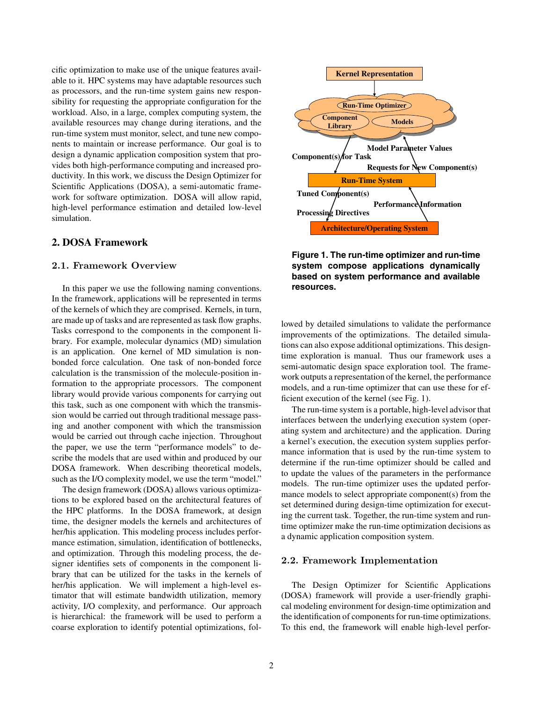cific optimization to make use of the unique features available to it. HPC systems may have adaptable resources such as processors, and the run-time system gains new responsibility for requesting the appropriate configuration for the workload. Also, in a large, complex computing system, the available resources may change during iterations, and the run-time system must monitor, select, and tune new components to maintain or increase performance. Our goal is to design a dynamic application composition system that provides both high-performance computing and increased productivity. In this work, we discuss the Design Optimizer for Scientific Applications (DOSA), a semi-automatic framework for software optimization. DOSA will allow rapid, high-level performance estimation and detailed low-level simulation.

#### **2. DOSA Framework**

In this paper we use the following naming conventions. In the framework, applications will be represented in terms of the kernels of which they are comprised. Kernels, in turn, are made up of tasks and are represented as task flow graphs. Tasks correspond to the components in the component library. For example, molecular dynamics (MD) simulation is an application. One kernel of MD simulation is nonbonded force calculation. One task of non-bonded force calculation is the transmission of the molecule-position information to the appropriate processors. The component library would provide various components for carrying out this task, such as one component with which the transmission would be carried out through traditional message passing and another component with which the transmission would be carried out through cache injection. Throughout the paper, we use the term "performance models" to describe the models that are used within and produced by our DOSA framework. When describing theoretical models, such as the I/O complexity model, we use the term "model."

The design framework (DOSA) allows various optimizations to be explored based on the architectural features of the HPC platforms. In the DOSA framework, at design time, the designer models the kernels and architectures of her/his application. This modeling process includes performance estimation, simulation, identification of bottlenecks, and optimization. Through this modeling process, the designer identifies sets of components in the component library that can be utilized for the tasks in the kernels of her/his application. We will implement a high-level estimator that will estimate bandwidth utilization, memory activity, I/O complexity, and performance. Our approach is hierarchical: the framework will be used to perform a coarse exploration to identify potential optimizations, fol-



**Figure 1. The run-time optimizer and run-time system compose applications dynamically based on system performance and available resources.**

lowed by detailed simulations to validate the performance improvements of the optimizations. The detailed simulations can also expose additional optimizations. This designtime exploration is manual. Thus our framework uses a semi-automatic design space exploration tool. The framework outputs a representation of the kernel, the performance models, and a run-time optimizer that can use these for efficient execution of the kernel (see Fig. 1).

The run-time system is a portable, high-level advisor that interfaces between the underlying execution system (operating system and architecture) and the application. During a kernel's execution, the execution system supplies performance information that is used by the run-time system to determine if the run-time optimizer should be called and to update the values of the parameters in the performance models. The run-time optimizer uses the updated performance models to select appropriate component(s) from the set determined during design-time optimization for executing the current task. Together, the run-time system and runtime optimizer make the run-time optimization decisions as a dynamic application composition system.

#### **2.2. Framework Implementation**

The Design Optimizer for Scientific Applications (DOSA) framework will provide a user-friendly graphical modeling environment for design-time optimization and the identification of components for run-time optimizations. To this end, the framework will enable high-level perfor-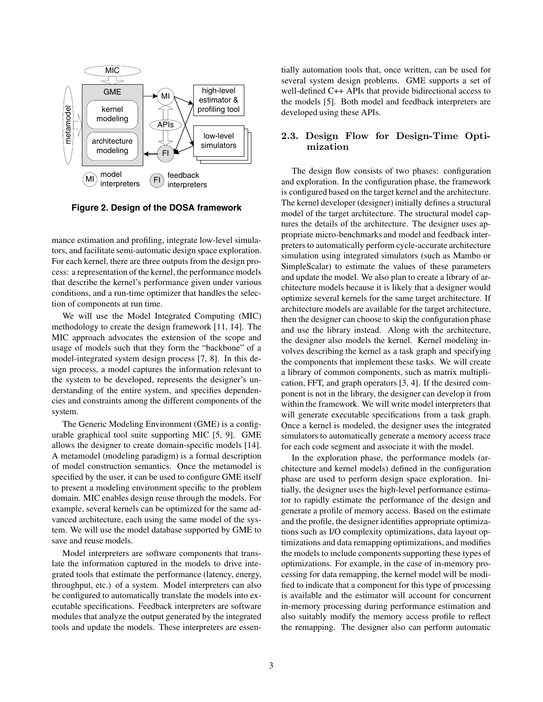

**Figure 2. Design of the DOSA framework**

mance estimation and profiling, integrate low-level simulators, and facilitate semi-automatic design space exploration. For each kernel, there are three outputs from the design process: a representation of the kernel, the performance models that describe the kernel's performance given under various conditions, and a run-time optimizer that handles the selection of components at run time.

We will use the Model Integrated Computing (MIC) methodology to create the design framework [11, 14]. The MIC approach advocates the extension of the scope and usage of models such that they form the "backbone" of a model-integrated system design process [7, 8]. In this design process, a model captures the information relevant to the system to be developed, represents the designer's understanding of the entire system, and specifies dependencies and constraints among the different components of the system.

The Generic Modeling Environment (GME) is a configurable graphical tool suite supporting MIC [5, 9]. GME allows the designer to create domain-specific models [14]. A metamodel (modeling paradigm) is a formal description of model construction semantics. Once the metamodel is specified by the user, it can be used to configure GME itself to present a modeling environment specific to the problem domain. MIC enables design reuse through the models. For example, several kernels can be optimized for the same advanced architecture, each using the same model of the system. We will use the model database supported by GME to save and reuse models.

Model interpreters are software components that translate the information captured in the models to drive integrated tools that estimate the performance (latency, energy, throughput, etc.) of a system. Model interpreters can also be configured to automatically translate the models into executable specifications. Feedback interpreters are software modules that analyze the output generated by the integrated tools and update the models. These interpreters are essentially automation tools that, once written, can be used for several system design problems. GME supports a set of well-defined C++ APIs that provide bidirectional access to the models [5]. Both model and feedback interpreters are developed using these APIs.

# **2.3. Design Flow for Design-Time Opti-**

The design flow consists of two phases: configuration and exploration. In the configuration phase, the framework is configured based on the target kernel and the architecture. The kernel developer (designer) initially defines a structural model of the target architecture. The structural model captures the details of the architecture. The designer uses appropriate micro-benchmarks and model and feedback interpreters to automatically perform cycle-accurate architecture simulation using integrated simulators (such as Mambo or SimpleScalar) to estimate the values of these parameters and update the model. We also plan to create a library of architecture models because it is likely that a designer would optimize several kernels for the same target architecture. If architecture models are available for the target architecture, then the designer can choose to skip the configuration phase and use the library instead. Along with the architecture, the designer also models the kernel. Kernel modeling involves describing the kernel as a task graph and specifying the components that implement these tasks. We will create a library of common components, such as matrix multiplication, FFT, and graph operators [3, 4]. If the desired component is not in the library, the designer can develop it from within the framework. We will write model interpreters that will generate executable specifications from a task graph. Once a kernel is modeled, the designer uses the integrated simulators to automatically generate a memory access trace for each code segment and associate it with the model.

In the exploration phase, the performance models (architecture and kernel models) defined in the configuration phase are used to perform design space exploration. Initially, the designer uses the high-level performance estimator to rapidly estimate the performance of the design and generate a profile of memory access. Based on the estimate and the profile, the designer identifies appropriate optimizations such as I/O complexity optimizations, data layout optimizations and data remapping optimizations, and modifies the models to include components supporting these types of optimizations. For example, in the case of in-memory processing for data remapping, the kernel model will be modified to indicate that a component for this type of processing is available and the estimator will account for concurrent in-memory processing during performance estimation and also suitably modify the memory access profile to reflect the remapping. The designer also can perform automatic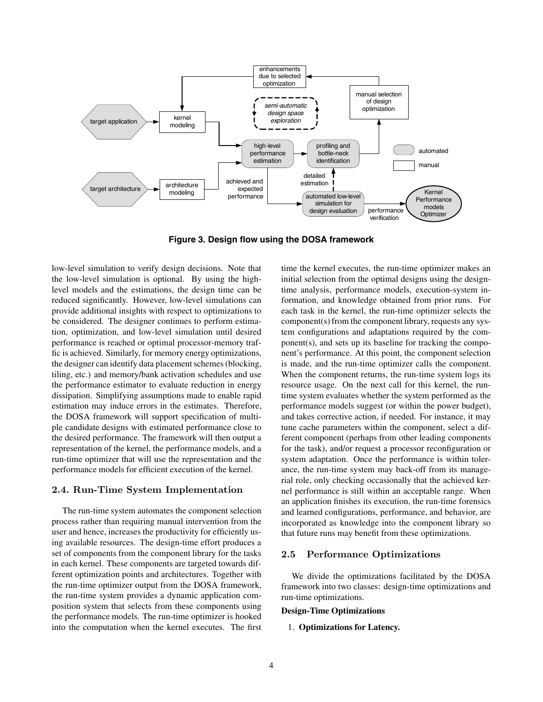

**Figure 3. Design flow using the DOSA framework**

low-level simulation to verify design decisions. Note that the low-level simulation is optional. By using the highlevel models and the estimations, the design time can be reduced significantly. However, low-level simulations can provide additional insights with respect to optimizations to be considered. The designer continues to perform estimation, optimization, and low-level simulation until desired performance is reached or optimal processor-memory traffic is achieved. Similarly, for memory energy optimizations, the designer can identify data placement schemes (blocking, tiling, etc.) and memory/bank activation schedules and use the performance estimator to evaluate reduction in energy dissipation. Simplifying assumptions made to enable rapid estimation may induce errors in the estimates. Therefore, the DOSA framework will support specification of multiple candidate designs with estimated performance close to the desired performance. The framework will then output a representation of the kernel, the performance models, and a run-time optimizer that will use the representation and the performance models for efficient execution of the kernel.

#### **2.4. Run-Time System Implementation**

The run-time system automates the component selection process rather than requiring manual intervention from the user and hence, increases the productivity for efficiently using available resources. The design-time effort produces a set of components from the component library for the tasks in each kernel. These components are targeted towards different optimization points and architectures. Together with the run-time optimizer output from the DOSA framework, the run-time system provides a dynamic application composition system that selects from these components using the performance models. The run-time optimizer is hooked into the computation when the kernel executes. The first

time the kernel executes, the run-time optimizer makes an initial selection from the optimal designs using the designtime analysis, performance models, execution-system information, and knowledge obtained from prior runs. For each task in the kernel, the run-time optimizer selects the component(s) from the component library, requests any system configurations and adaptations required by the component(s), and sets up its baseline for tracking the component's performance. At this point, the component selection is made, and the run-time optimizer calls the component. When the component returns, the run-time system logs its resource usage. On the next call for this kernel, the runtime system evaluates whether the system performed as the performance models suggest (or within the power budget), and takes corrective action, if needed. For instance, it may tune cache parameters within the component, select a different component (perhaps from other leading components for the task), and/or request a processor reconfiguration or system adaptation. Once the performance is within tolerance, the run-time system may back-off from its managerial role, only checking occasionally that the achieved kernel performance is still within an acceptable range. When an application finishes its execution, the run-time forensics and learned configurations, performance, and behavior, are incorporated as knowledge into the component library so that future runs may benefit from these optimizations.

#### **2.5 Performance Optimizations**

We divide the optimizations facilitated by the DOSA framework into two classes: design-time optimizations and run-time optimizations.

#### **Design-Time Optimizations**

1. **Optimizations for Latency.**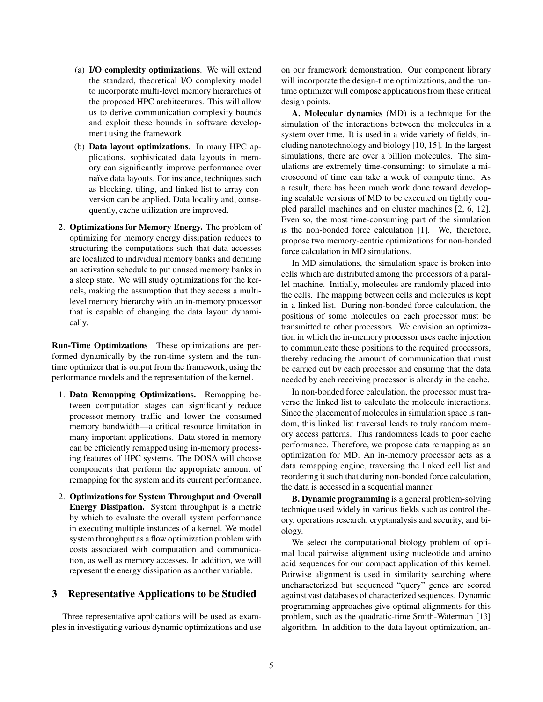- (a) **I/O complexity optimizations**. We will extend the standard, theoretical I/O complexity model to incorporate multi-level memory hierarchies of the proposed HPC architectures. This will allow us to derive communication complexity bounds and exploit these bounds in software development using the framework.
- (b) **Data layout optimizations**. In many HPC applications, sophisticated data layouts in memory can significantly improve performance over naïve data layouts. For instance, techniques such as blocking, tiling, and linked-list to array conversion can be applied. Data locality and, consequently, cache utilization are improved.
- 2. **Optimizations for Memory Energy.** The problem of optimizing for memory energy dissipation reduces to structuring the computations such that data accesses are localized to individual memory banks and defining an activation schedule to put unused memory banks in a sleep state. We will study optimizations for the kernels, making the assumption that they access a multilevel memory hierarchy with an in-memory processor that is capable of changing the data layout dynamically.

**Run-Time Optimizations** These optimizations are performed dynamically by the run-time system and the runtime optimizer that is output from the framework, using the performance models and the representation of the kernel.

- 1. **Data Remapping Optimizations.** Remapping between computation stages can significantly reduce processor-memory traffic and lower the consumed memory bandwidth—a critical resource limitation in many important applications. Data stored in memory can be efficiently remapped using in-memory processing features of HPC systems. The DOSA will choose components that perform the appropriate amount of remapping for the system and its current performance.
- 2. **Optimizations for System Throughput and Overall Energy Dissipation.** System throughput is a metric by which to evaluate the overall system performance in executing multiple instances of a kernel. We model system throughput as a flow optimization problem with costs associated with computation and communication, as well as memory accesses. In addition, we will represent the energy dissipation as another variable.

### **3 Representative Applications to be Studied**

Three representative applications will be used as examples in investigating various dynamic optimizations and use on our framework demonstration. Our component library will incorporate the design-time optimizations, and the runtime optimizer will compose applications from these critical design points.

**A. Molecular dynamics** (MD) is a technique for the simulation of the interactions between the molecules in a system over time. It is used in a wide variety of fields, including nanotechnology and biology [10, 15]. In the largest simulations, there are over a billion molecules. The simulations are extremely time-consuming: to simulate a microsecond of time can take a week of compute time. As a result, there has been much work done toward developing scalable versions of MD to be executed on tightly coupled parallel machines and on cluster machines [2, 6, 12]. Even so, the most time-consuming part of the simulation is the non-bonded force calculation [1]. We, therefore, propose two memory-centric optimizations for non-bonded force calculation in MD simulations.

In MD simulations, the simulation space is broken into cells which are distributed among the processors of a parallel machine. Initially, molecules are randomly placed into the cells. The mapping between cells and molecules is kept in a linked list. During non-bonded force calculation, the positions of some molecules on each processor must be transmitted to other processors. We envision an optimization in which the in-memory processor uses cache injection to communicate these positions to the required processors, thereby reducing the amount of communication that must be carried out by each processor and ensuring that the data needed by each receiving processor is already in the cache.

In non-bonded force calculation, the processor must traverse the linked list to calculate the molecule interactions. Since the placement of molecules in simulation space is random, this linked list traversal leads to truly random memory access patterns. This randomness leads to poor cache performance. Therefore, we propose data remapping as an optimization for MD. An in-memory processor acts as a data remapping engine, traversing the linked cell list and reordering it such that during non-bonded force calculation, the data is accessed in a sequential manner.

**B. Dynamic programming** is a general problem-solving technique used widely in various fields such as control theory, operations research, cryptanalysis and security, and biology.

We select the computational biology problem of optimal local pairwise alignment using nucleotide and amino acid sequences for our compact application of this kernel. Pairwise alignment is used in similarity searching where uncharacterized but sequenced "query" genes are scored against vast databases of characterized sequences. Dynamic programming approaches give optimal alignments for this problem, such as the quadratic-time Smith-Waterman [13] algorithm. In addition to the data layout optimization, an